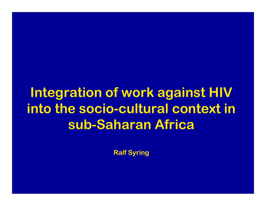# Integration of work against HIV into the socio-cultural context in sub-Saharan Africa

Ralf Syring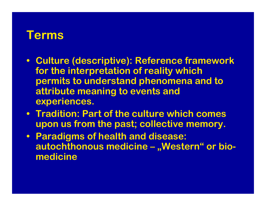#### Terms

- Culture (descriptive): Reference framework for the interpretation of reality which permits to understand phenomena and to attribute meaning to events and experiences.
- Tradition: Part of the culture which comes upon us from the past; collective memory.
- Paradigms of health and disease: autochthonous medicine - "Western" or biomedicine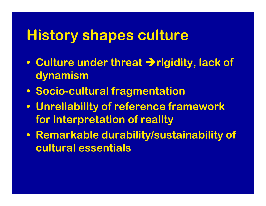#### History shapes culture

- Culture under threat  $\rightarrow$  rigidity, lack of dynamism
- Socio-cultural fragmentation
- Unreliability of reference framework for interpretation of reality
- Remarkable durability/sustainability of cultural essentials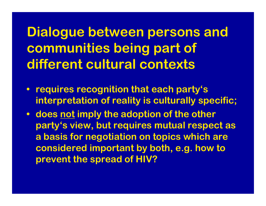Dialogue between persons and communities being part of different cultural contexts

- requires recognition that each party's interpretation of reality is culturally specific;
- does not imply the adoption of the other party's view, but requires mutual respect as a basis for negotiation on topics which are considered important by both, e.g. how to prevent the spread of HIV?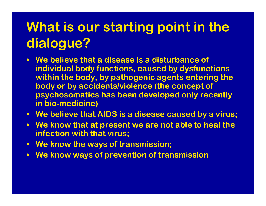# What is our starting point in the dialogue?

- We believe that a disease is a disturbance of individual body functions, caused by dysfunctions within the body, by pathogenic agents entering the body or by accidents/violence (the concept of psychosomatics has been developed only recently in bio-medicine)
- We believe that AIDS is a disease caused by a virus;
- We know that at present we are not able to heal the infection with that virus;
- We know the ways of transmission;
- $\bullet$ We know ways of prevention of transmission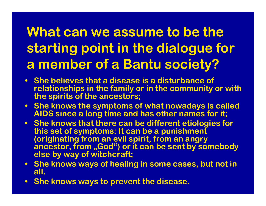# What can we assume to be the starting point in the dialogue for a member of a Bantu society?

- She believes that a disease is a disturbance of relationships in the family or in the community or with the spirits of the ancestors;
- She knows the symptoms of what nowadays is called AIDS since a long time and has other names for it;
- She knows that there can be different etiologies for this set of symptoms: It can be a punishment (originating from an evil spirit, from an angry ancestor, from "God") or it can be sent by somebody else by way of witchcraft;
- She knows ways of healing in some cases, but not in all.
- She knows ways to prevent the disease.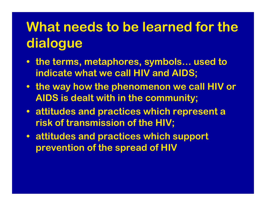### What needs to be learned for the dialogue

- the terms, metaphores, symbols… used to indicate what we call HIV and AIDS;
- the way how the phenomenon we call HIV or AIDS is dealt with in the community;
- attitudes and practices which represent a risk of transmission of the HIV;
- attitudes and practices which support prevention of the spread of HIV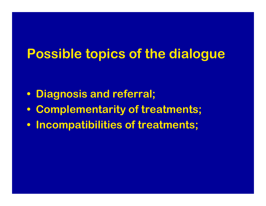#### Possible topics of the dialogue

- Diagnosis and referral;
- Complementarity of treatments;
- $\bullet$ Incompatibilities of treatments;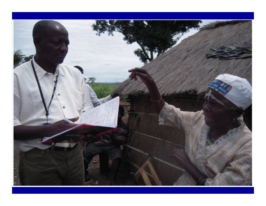